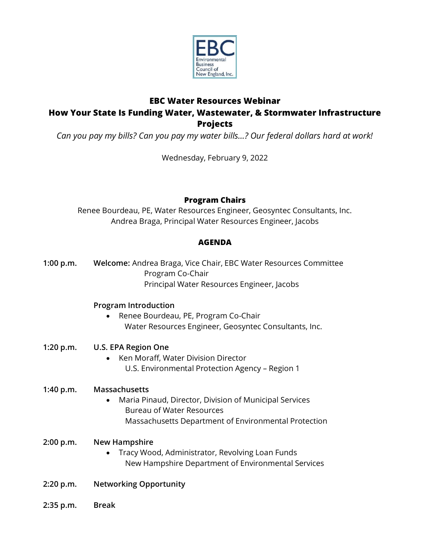

# **EBC Water Resources Webinar How Your State Is Funding Water, Wastewater, & Stormwater Infrastructure Projects**

*Can you pay my bills? Can you pay my water bills…? Our federal dollars hard at work!* 

Wednesday, February 9, 2022

## **Program Chairs**

Renee Bourdeau, PE, Water Resources Engineer, Geosyntec Consultants, Inc. Andrea Braga, Principal Water Resources Engineer, Jacobs

## **AGENDA**

**1:00 p.m. Welcome:** Andrea Braga, Vice Chair, EBC Water Resources Committee Program Co-Chair Principal Water Resources Engineer, Jacobs

### **Program Introduction**

• Renee Bourdeau, PE, Program Co-Chair Water Resources Engineer, Geosyntec Consultants, Inc.

## **1:20 p.m. U.S. EPA Region One**

• Ken Moraff, Water Division Director U.S. Environmental Protection Agency – Region 1

### **1:40 p.m. Massachusetts**

• Maria Pinaud, Director, Division of Municipal Services Bureau of Water Resources Massachusetts Department of Environmental Protection

### **2:00 p.m. New Hampshire**

- Tracy Wood, Administrator, Revolving Loan Funds New Hampshire Department of Environmental Services
- **2:20 p.m. Networking Opportunity**
- **2:35 p.m. Break**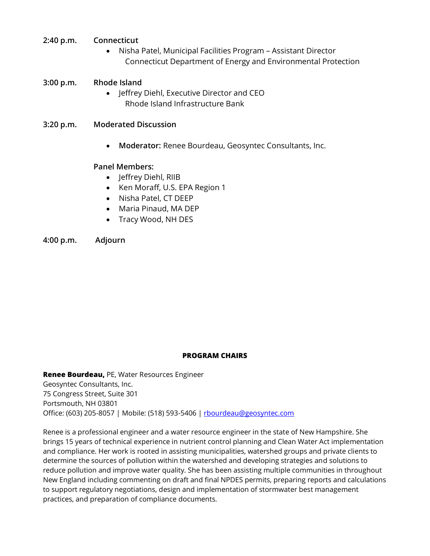- **2:40 p.m. Connecticut**
	- Nisha Patel, Municipal Facilities Program Assistant Director Connecticut Department of Energy and Environmental Protection

#### **3:00 p.m. Rhode Island**

- Jeffrey Diehl, Executive Director and CEO Rhode Island Infrastructure Bank
- **3:20 p.m. Moderated Discussion**
	- **Moderator:** Renee Bourdeau, Geosyntec Consultants, Inc.

#### **Panel Members:**

- Jeffrey Diehl, RIIB
- Ken Moraff, U.S. EPA Region 1
- Nisha Patel, CT DEEP
- Maria Pinaud, MA DEP
- Tracy Wood, NH DES

**4:00 p.m. Adjourn**

#### **PROGRAM CHAIRS**

**Renee Bourdeau,** PE, Water Resources Engineer Geosyntec Consultants, Inc. 75 Congress Street, Suite 301 Portsmouth, NH 03801 Office: (603) 205-8057 | Mobile: (518) 593-5406 | [rbourdeau@geosyntec.com](mailto:rbourdeau@geosyntec.com)

Renee is a professional engineer and a water resource engineer in the state of New Hampshire. She brings 15 years of technical experience in nutrient control planning and Clean Water Act implementation and compliance. Her work is rooted in assisting municipalities, watershed groups and private clients to determine the sources of pollution within the watershed and developing strategies and solutions to reduce pollution and improve water quality. She has been assisting multiple communities in throughout New England including commenting on draft and final NPDES permits, preparing reports and calculations to support regulatory negotiations, design and implementation of stormwater best management practices, and preparation of compliance documents.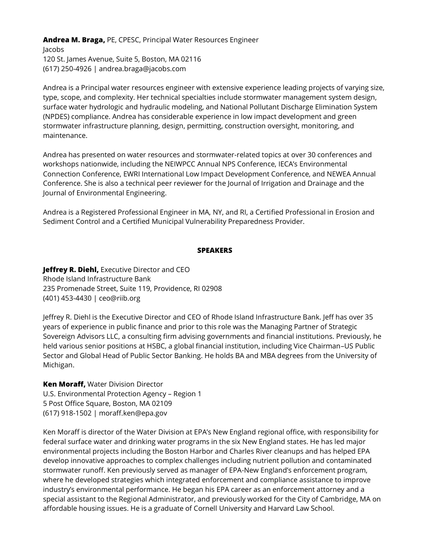**Andrea M. Braga,** PE, CPESC, Principal Water Resources Engineer

Jacobs 120 St. James Avenue, Suite 5, Boston, MA 02116 (617) 250-4926 | andrea.braga@jacobs.com

Andrea is a Principal water resources engineer with extensive experience leading projects of varying size, type, scope, and complexity. Her technical specialties include stormwater management system design, surface water hydrologic and hydraulic modeling, and National Pollutant Discharge Elimination System (NPDES) compliance. Andrea has considerable experience in low impact development and green stormwater infrastructure planning, design, permitting, construction oversight, monitoring, and maintenance.

Andrea has presented on water resources and stormwater-related topics at over 30 conferences and workshops nationwide, including the NEIWPCC Annual NPS Conference, IECA's Environmental Connection Conference, EWRI International Low Impact Development Conference, and NEWEA Annual Conference. She is also a technical peer reviewer for the Journal of Irrigation and Drainage and the Journal of Environmental Engineering.

Andrea is a Registered Professional Engineer in MA, NY, and RI, a Certified Professional in Erosion and Sediment Control and a Certified Municipal Vulnerability Preparedness Provider.

#### **SPEAKERS**

**Jeffrey R. Diehl,** Executive Director and CEO Rhode Island Infrastructure Bank 235 Promenade Street, Suite 119, Providence, RI 02908 (401) 453-4430 | ceo@riib.org

Jeffrey R. Diehl is the Executive Director and CEO of Rhode Island Infrastructure Bank. Jeff has over 35 years of experience in public finance and prior to this role was the Managing Partner of Strategic Sovereign Advisors LLC, a consulting firm advising governments and financial institutions. Previously, he held various senior positions at HSBC, a global financial institution, including Vice Chairman–US Public Sector and Global Head of Public Sector Banking. He holds BA and MBA degrees from the University of Michigan.

**Ken Moraff,** Water Division Director U.S. Environmental Protection Agency – Region 1 5 Post Office Square, Boston, MA 02109 (617) 918-1502 | moraff.ken@epa.gov

Ken Moraff is director of the Water Division at EPA's New England regional office, with responsibility for federal surface water and drinking water programs in the six New England states. He has led major environmental projects including the Boston Harbor and Charles River cleanups and has helped EPA develop innovative approaches to complex challenges including nutrient pollution and contaminated stormwater runoff. Ken previously served as manager of EPA-New England's enforcement program, where he developed strategies which integrated enforcement and compliance assistance to improve industry's environmental performance. He began his EPA career as an enforcement attorney and a special assistant to the Regional Administrator, and previously worked for the City of Cambridge, MA on affordable housing issues. He is a graduate of Cornell University and Harvard Law School.